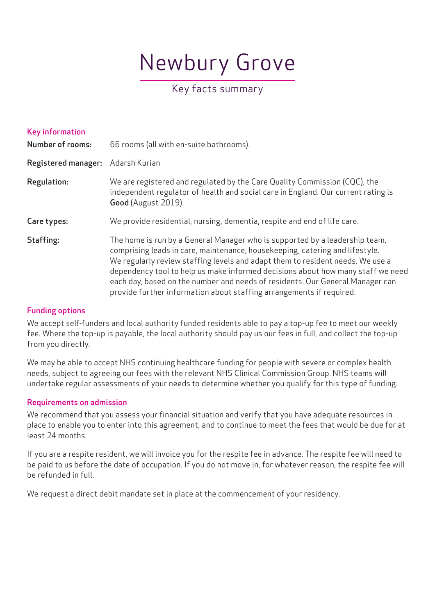# Newbury Grove

# Key facts summary

| <b>Key information</b><br><b>Number of rooms:</b> | 66 rooms (all with en-suite bathrooms).                                                                                                                                                                                                                                                                                                                                                                                                                                                   |
|---------------------------------------------------|-------------------------------------------------------------------------------------------------------------------------------------------------------------------------------------------------------------------------------------------------------------------------------------------------------------------------------------------------------------------------------------------------------------------------------------------------------------------------------------------|
| <b>Registered manager:</b>                        | Adarsh Kurian                                                                                                                                                                                                                                                                                                                                                                                                                                                                             |
| <b>Regulation:</b>                                | We are registered and regulated by the Care Quality Commission (CQC), the<br>independent regulator of health and social care in England. Our current rating is<br>Good (August 2019).                                                                                                                                                                                                                                                                                                     |
| Care types:                                       | We provide residential, nursing, dementia, respite and end of life care.                                                                                                                                                                                                                                                                                                                                                                                                                  |
| Staffing:                                         | The home is run by a General Manager who is supported by a leadership team,<br>comprising leads in care, maintenance, housekeeping, catering and lifestyle.<br>We regularly review staffing levels and adapt them to resident needs. We use a<br>dependency tool to help us make informed decisions about how many staff we need<br>each day, based on the number and needs of residents. Our General Manager can<br>provide further information about staffing arrangements if required. |

## Funding options

We accept self-funders and local authority funded residents able to pay a top-up fee to meet our weekly fee. Where the top-up is payable, the local authority should pay us our fees in full, and collect the top-up from you directly.

We may be able to accept NHS continuing healthcare funding for people with severe or complex health needs, subject to agreeing our fees with the relevant NHS Clinical Commission Group. NHS teams will undertake regular assessments of your needs to determine whether you qualify for this type of funding.

# Requirements on admission

We recommend that you assess your financial situation and verify that you have adequate resources in place to enable you to enter into this agreement, and to continue to meet the fees that would be due for at least 24 months.

If you are a respite resident, we will invoice you for the respite fee in advance. The respite fee will need to be paid to us before the date of occupation. If you do not move in, for whatever reason, the respite fee will be refunded in full.

We request a direct debit mandate set in place at the commencement of your residency.